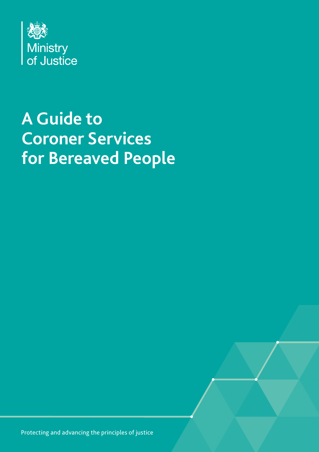

# **A Guide to Coroner Services for Bereaved People**

Protecting and advancing the principles of justice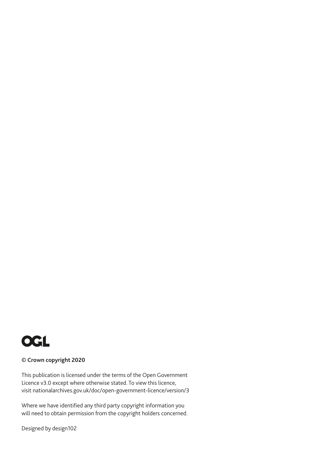

#### **© Crown copyright 2020**

This publication is licensed under the terms of the Open Government Licence v3.0 except where otherwise stated. To view this licence, visit [nationalarchives.gov.uk/doc/open-government-licence/version/3](http://nationalarchives.gov.uk/doc/open-government-licence/version/3)

Where we have identified any third party copyright information you will need to obtain permission from the copyright holders concerned.

Designed by design102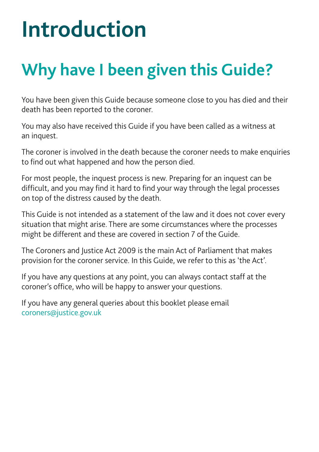# **Introduction**

# **Why have I been given this Guide?**

You have been given this Guide because someone close to you has died and their death has been reported to the coroner.

You may also have received this Guide if you have been called as a witness at an inquest.

The coroner is involved in the death because the coroner needs to make enquiries to find out what happened and how the person died.

For most people, the inquest process is new. Preparing for an inquest can be difficult, and you may find it hard to find your way through the legal processes on top of the distress caused by the death.

This Guide is not intended as a statement of the law and it does not cover every situation that might arise. There are some circumstances where the processes might be different and these are covered in section 7 of the Guide.

The Coroners and Justice Act 2009 is the main Act of Parliament that makes provision for the coroner service. In this Guide, we refer to this as 'the Act'.

If you have any questions at any point, you can always contact staff at the coroner's office, who will be happy to answer your questions.

If you have any general queries about this booklet please email [coroners@justice.gov.uk](mailto:coroners%40justice.gov.uk?subject=)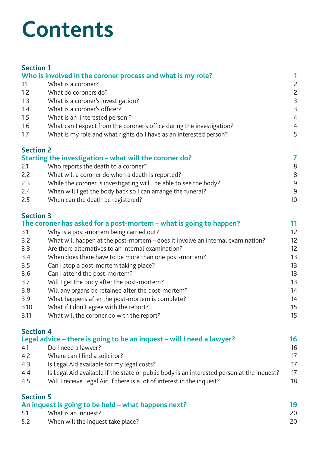# **Contents**

| <b>Section 1</b> |                                                                                |                 |
|------------------|--------------------------------------------------------------------------------|-----------------|
|                  | Who is involved in the coroner process and what is my role?                    | 1               |
| 1.1              | What is a coroner?                                                             | $\mathsf{S}$    |
| 1.2              | What do coroners do?                                                           | $\mathsf{Z}$    |
| 1.3              | What is a coroner's investigation?                                             | $\mathsf 3$     |
| 1.4              | What is a coroner's officer?                                                   | $\mathsf 3$     |
| $1.5\,$          | What is an 'interested person'?                                                | $\overline{4}$  |
| 1.6              | What can I expect from the coroner's office during the investigation?          | 4               |
| 1.7              | What is my role and what rights do I have as an interested person?             | 5               |
| <b>Section 2</b> |                                                                                |                 |
|                  | Starting the investigation - what will the coroner do?                         | $\overline{7}$  |
| 2.1              | Who reports the death to a coroner?                                            | 8               |
| 2.2              | What will a coroner do when a death is reported?                               | 8               |
| 2.3              | While the coroner is investigating will I be able to see the body?             | 9               |
| 2.4              | When will I get the body back so I can arrange the funeral?                    | 9               |
| 2.5              | When can the death be registered?                                              | 10 <sup>1</sup> |
| <b>Section 3</b> |                                                                                |                 |
|                  | The coroner has asked for a post-mortem – what is going to happen?             | 11              |
| 3.1              | Why is a post-mortem being carried out?                                        | 12              |
| 3.2              | What will happen at the post-mortem - does it involve an internal examination? | 12              |
| 3.3              | Are there alternatives to an internal examination?                             | 12              |
| 3.4              | When does there have to be more than one post-mortem?                          | 13              |
| 3.5              | Can I stop a post-mortem taking place?                                         | 13              |
| 3.6              | Can I attend the post-mortem?                                                  | 13              |
| 3.7              | Will I get the body after the post-mortem?                                     | 13              |
| 3.8              | Will any organs be retained after the post-mortem?                             | 14              |
| 3.9              | What happens after the post-mortem is complete?                                | 14              |
| 3.10             | What if I don't agree with the report?                                         | 15              |
|                  |                                                                                |                 |

3.11 [What will the coroner do with the report?](#page-20-0)

#### **[Section 4](#page-21-0)**

|                  | Legal advice – there is going to be an inquest – will I need a lawyer?                     | 16 |
|------------------|--------------------------------------------------------------------------------------------|----|
| 4.1              | Do I need a lawyer?                                                                        | 16 |
| 4.2              | Where can I find a solicitor?                                                              | 17 |
| 4.3              | Is Legal Aid available for my legal costs?                                                 |    |
| 4.4              | Is Legal Aid available if the state or public body is an interested person at the inquest? | 17 |
| 4.5              | Will I receive Legal Aid if there is a lot of interest in the inquest?                     | 18 |
| <b>Section 5</b> |                                                                                            |    |

| --------<br>An inquest is going to be held - what happens next? |                                   |    |
|-----------------------------------------------------------------|-----------------------------------|----|
| -5.1                                                            | What is an inquest?               | 20 |
| 5.2                                                             | When will the inquest take place? | 20 |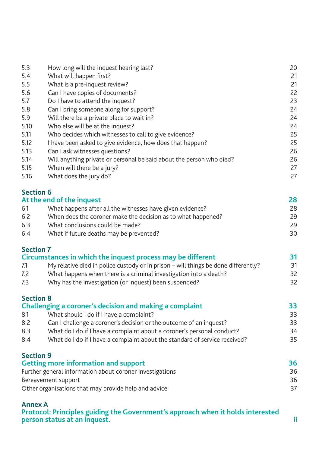| 5.3  | How long will the inquest hearing last?                              | 20 |
|------|----------------------------------------------------------------------|----|
| 5.4  | What will happen first?                                              | 21 |
| 5.5  | What is a pre-inquest review?                                        | 21 |
| 5.6  | Can I have copies of documents?                                      | 22 |
| 5.7  | Do I have to attend the inquest?                                     | 23 |
| 5.8  | Can I bring someone along for support?                               | 24 |
| 5.9  | Will there be a private place to wait in?                            | 24 |
| 5.10 | Who else will be at the inquest?                                     | 24 |
| 5.11 | Who decides which witnesses to call to give evidence?                | 25 |
| 5.12 | I have been asked to give evidence, how does that happen?            | 25 |
| 5.13 | Can I ask witnesses questions?                                       | 26 |
| 5.14 | Will anything private or personal be said about the person who died? | 26 |
| 5.15 | When will there be a jury?                                           | 27 |
| 5.16 | What does the jury do?                                               | 27 |

#### **[Section 6](#page-33-0)**

| At the end of the inquest |                                                              | 28 |
|---------------------------|--------------------------------------------------------------|----|
| 6.1                       | What happens after all the witnesses have given evidence?    | 28 |
| 6.2                       | When does the coroner make the decision as to what happened? | 29 |
| 6.3                       | What conclusions could be made?                              | 29 |
| 6.4                       | What if future deaths may be prevented?                      | 30 |

#### **[Section 7](#page-36-0)**

| <b>JELLIUII</b> I                                                                         |    |
|-------------------------------------------------------------------------------------------|----|
| Circumstances in which the inquest process may be different                               |    |
| My relative died in police custody or in prison – will things be done differently?<br>7.1 | 31 |
| What happens when there is a criminal investigation into a death?<br>7.2                  | 32 |
| Why has the investigation (or inquest) been suspended?<br>7.3                             | 32 |

#### **[Section 8](#page-38-0)**

| Challenging a coroner's decision and making a complaint |                                                                            | 33. |
|---------------------------------------------------------|----------------------------------------------------------------------------|-----|
| 8.1                                                     | What should I do if I have a complaint?                                    | 33  |
| 8.2                                                     | Can I challenge a coroner's decision or the outcome of an inquest?         | 33  |
| 8.3                                                     | What do I do if I have a complaint about a coroner's personal conduct?     | 34  |
| 8.4                                                     | What do I do if I have a complaint about the standard of service received? | 35  |
|                                                         |                                                                            |     |

#### **[Section 9](#page-41-0)**

| <b>Getting more information and support</b>              | 36 |
|----------------------------------------------------------|----|
| Further general information about coroner investigations | 36 |
| Bereavement support                                      | 36 |
| Other organisations that may provide help and advice     |    |

#### **[Annex A](#page-48-0)**

**[Protocol: Principles guiding the Government's approach when it holds interested](#page-48-0)  [person status at an](#page-48-0) inquest. ii**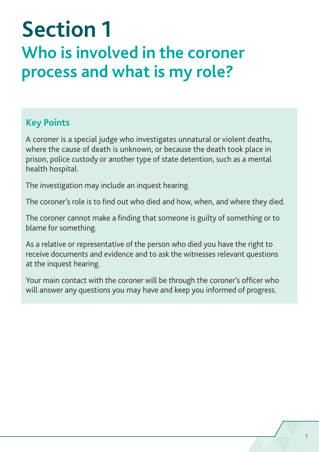# <span id="page-6-0"></span>**Section 1 Who is involved in the coroner process and what is my role?**

#### **Key Points**

A coroner is a special judge who investigates unnatural or violent deaths, where the cause of death is unknown, or because the death took place in prison, police custody or another type of state detention, such as a mental health hospital.

The investigation may include an inquest hearing.

The coroner's role is to find out who died and how, when, and where they died.

The coroner cannot make a finding that someone is guilty of something or to blame for something.

As a relative or representative of the person who died you have the right to receive documents and evidence and to ask the witnesses relevant questions at the inquest hearing.

Your main contact with the coroner will be through the coroner's officer who will answer any questions you may have and keep you informed of progress.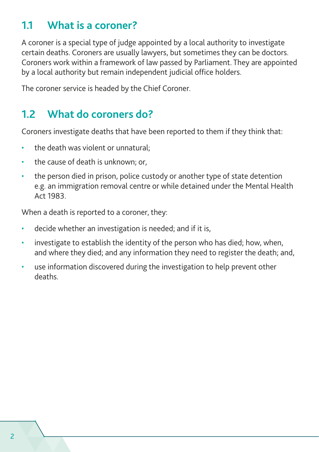#### <span id="page-7-0"></span>**1.1 What is a coroner?**

A coroner is a special type of judge appointed by a local authority to investigate certain deaths. Coroners are usually lawyers, but sometimes they can be doctors. Coroners work within a framework of law passed by Parliament. They are appointed by a local authority but remain independent judicial office holders.

The coroner service is headed by the Chief Coroner.

### **1.2 What do coroners do?**

Coroners investigate deaths that have been reported to them if they think that:

- the death was violent or unnatural;
- the cause of death is unknown; or,
- the person died in prison, police custody or another type of state detention e.g. an immigration removal centre or while detained under the Mental Health Act 1983.

When a death is reported to a coroner, they:

- decide whether an investigation is needed; and if it is,
- investigate to establish the identity of the person who has died; how, when, and where they died; and any information they need to register the death; and,
- use information discovered during the investigation to help prevent other deaths.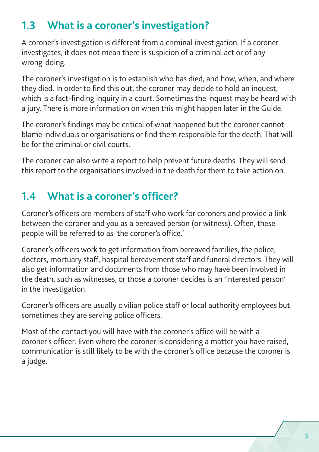## <span id="page-8-0"></span>**1.3 What is a coroner's investigation?**

A coroner's investigation is different from a criminal investigation. If a coroner investigates, it does not mean there is suspicion of a criminal act or of any wrong-doing.

The coroner's investigation is to establish who has died, and how, when, and where they died. In order to find this out, the coroner may decide to hold an inquest, which is a fact-finding inquiry in a court. Sometimes the inquest may be heard with a jury. There is more information on when this might happen later in the Guide.

The coroner's findings may be critical of what happened but the coroner cannot blame individuals or organisations or find them responsible for the death. That will be for the criminal or civil courts.

The coroner can also write a report to help prevent future deaths. They will send this report to the organisations involved in the death for them to take action on.

## **1.4 What is a coroner's officer?**

Coroner's officers are members of staff who work for coroners and provide a link between the coroner and you as a bereaved person (or witness). Often, these people will be referred to as 'the coroner's office.'

Coroner's officers work to get information from bereaved families, the police, doctors, mortuary staff, hospital bereavement staff and funeral directors. They will also get information and documents from those who may have been involved in the death, such as witnesses, or those a coroner decides is an 'interested person' in the investigation.

Coroner's officers are usually civilian police staff or local authority employees but sometimes they are serving police officers.

Most of the contact you will have with the coroner's office will be with a coroner's officer. Even where the coroner is considering a matter you have raised, communication is still likely to be with the coroner's office because the coroner is a judge.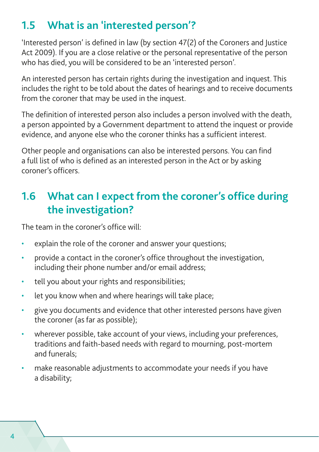## <span id="page-9-0"></span>**1.5 What is an 'interested person'?**

'Interested person' is defined in law (by section 47(2) of the Coroners and Justice Act 2009). If you are a close relative or the personal representative of the person who has died, you will be considered to be an 'interested person'.

An interested person has certain rights during the investigation and inquest. This includes the right to be told about the dates of hearings and to receive documents from the coroner that may be used in the inquest.

The definition of interested person also includes a person involved with the death, a person appointed by a Government department to attend the inquest or provide evidence, and anyone else who the coroner thinks has a sufficient interest.

Other people and organisations can also be interested persons. You can find a full list of who is defined as an interested person in the Act or by asking coroner's officers.

## **1.6 What can I expect from the coroner's office during the investigation?**

The team in the coroner's office will:

- explain the role of the coroner and answer your questions;
- provide a contact in the coroner's office throughout the investigation, including their phone number and/or email address;
- tell you about your rights and responsibilities;
- let you know when and where hearings will take place;
- give you documents and evidence that other interested persons have given the coroner (as far as possible);
- wherever possible, take account of your views, including your preferences, traditions and faith-based needs with regard to mourning, post-mortem and funerals;
- make reasonable adjustments to accommodate your needs if you have a disability;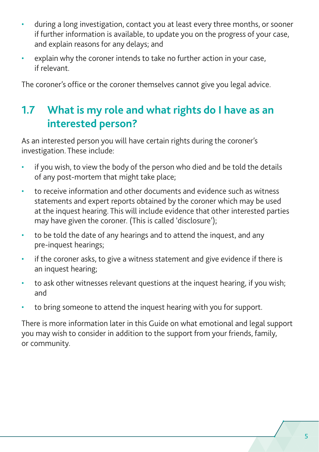- <span id="page-10-0"></span>• during a long investigation, contact you at least every three months, or sooner if further information is available, to update you on the progress of your case, and explain reasons for any delays; and
- explain why the coroner intends to take no further action in your case, if relevant.

The coroner's office or the coroner themselves cannot give you legal advice.

## **1.7 What is my role and what rights do I have as an interested person?**

As an interested person you will have certain rights during the coroner's investigation. These include:

- if you wish, to view the body of the person who died and be told the details of any post-mortem that might take place;
- to receive information and other documents and evidence such as witness statements and expert reports obtained by the coroner which may be used at the inquest hearing. This will include evidence that other interested parties may have given the coroner. (This is called 'disclosure');
- to be told the date of any hearings and to attend the inquest, and any pre-inquest hearings;
- if the coroner asks, to give a witness statement and give evidence if there is an inquest hearing;
- to ask other witnesses relevant questions at the inquest hearing, if you wish; and
- to bring someone to attend the inquest hearing with you for support.

There is more information later in this Guide on what emotional and legal support you may wish to consider in addition to the support from your friends, family, or community.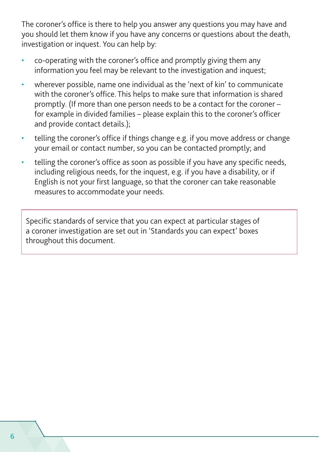The coroner's office is there to help you answer any questions you may have and you should let them know if you have any concerns or questions about the death, investigation or inquest. You can help by:

- co-operating with the coroner's office and promptly giving them any information you feel may be relevant to the investigation and inquest;
- wherever possible, name one individual as the 'next of kin' to communicate with the coroner's office. This helps to make sure that information is shared promptly. (If more than one person needs to be a contact for the coroner – for example in divided families – please explain this to the coroner's officer and provide contact details.);
- telling the coroner's office if things change e.g. if you move address or change your email or contact number, so you can be contacted promptly; and
- telling the coroner's office as soon as possible if you have any specific needs, including religious needs, for the inquest, e.g. if you have a disability, or if English is not your first language, so that the coroner can take reasonable measures to accommodate your needs.

Specific standards of service that you can expect at particular stages of a coroner investigation are set out in 'Standards you can expect' boxes throughout this document.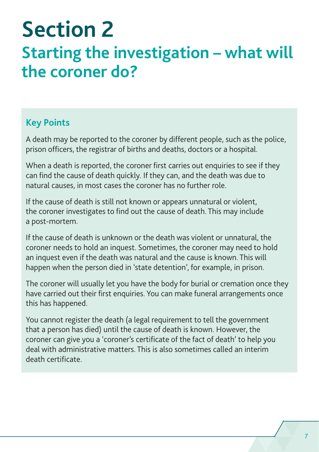# <span id="page-12-0"></span>**Section 2 Starting the investigation – what will the coroner do?**

#### **Key Points**

A death may be reported to the coroner by different people, such as the police, prison officers, the registrar of births and deaths, doctors or a hospital.

When a death is reported, the coroner first carries out enquiries to see if they can find the cause of death quickly. If they can, and the death was due to natural causes, in most cases the coroner has no further role.

If the cause of death is still not known or appears unnatural or violent, the coroner investigates to find out the cause of death. This may include a post-mortem.

If the cause of death is unknown or the death was violent or unnatural, the coroner needs to hold an inquest. Sometimes, the coroner may need to hold an inquest even if the death was natural and the cause is known. This will happen when the person died in 'state detention', for example, in prison.

The coroner will usually let you have the body for burial or cremation once they have carried out their first enquiries. You can make funeral arrangements once this has happened.

You cannot register the death (a legal requirement to tell the government that a person has died) until the cause of death is known. However, the coroner can give you a 'coroner's certificate of the fact of death' to help you deal with administrative matters. This is also sometimes called an interim death certificate.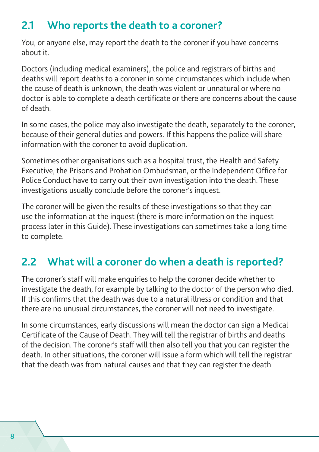## <span id="page-13-0"></span>**2.1 Who reports the death to a coroner?**

You, or anyone else, may report the death to the coroner if you have concerns about it.

Doctors (including medical examiners), the police and registrars of births and deaths will report deaths to a coroner in some circumstances which include when the cause of death is unknown, the death was violent or unnatural or where no doctor is able to complete a death certificate or there are concerns about the cause of death.

In some cases, the police may also investigate the death, separately to the coroner, because of their general duties and powers. If this happens the police will share information with the coroner to avoid duplication.

Sometimes other organisations such as a hospital trust, the Health and Safety Executive, the Prisons and Probation Ombudsman, or the Independent Office for Police Conduct have to carry out their own investigation into the death. These investigations usually conclude before the coroner's inquest.

The coroner will be given the results of these investigations so that they can use the information at the inquest (there is more information on the inquest process later in this Guide). These investigations can sometimes take a long time to complete.

## **2.2 What will a coroner do when a death is reported?**

The coroner's staff will make enquiries to help the coroner decide whether to investigate the death, for example by talking to the doctor of the person who died. If this confirms that the death was due to a natural illness or condition and that there are no unusual circumstances, the coroner will not need to investigate.

In some circumstances, early discussions will mean the doctor can sign a Medical Certificate of the Cause of Death. They will tell the registrar of births and deaths of the decision. The coroner's staff will then also tell you that you can register the death. In other situations, the coroner will issue a form which will tell the registrar that the death was from natural causes and that they can register the death.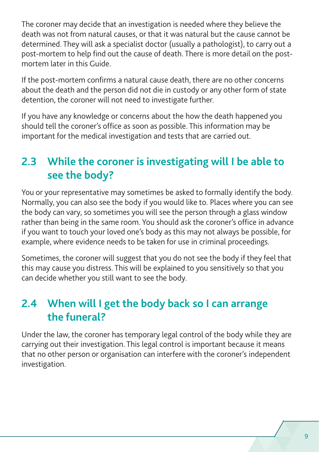<span id="page-14-0"></span>The coroner may decide that an investigation is needed where they believe the death was not from natural causes, or that it was natural but the cause cannot be determined. They will ask a specialist doctor (usually a pathologist), to carry out a post-mortem to help find out the cause of death. There is more detail on the postmortem later in this Guide.

If the post-mortem confirms a natural cause death, there are no other concerns about the death and the person did not die in custody or any other form of state detention, the coroner will not need to investigate further.

If you have any knowledge or concerns about the how the death happened you should tell the coroner's office as soon as possible. This information may be important for the medical investigation and tests that are carried out.

## **2.3 While the coroner is investigating will I be able to see the body?**

You or your representative may sometimes be asked to formally identify the body. Normally, you can also see the body if you would like to. Places where you can see the body can vary, so sometimes you will see the person through a glass window rather than being in the same room. You should ask the coroner's office in advance if you want to touch your loved one's body as this may not always be possible, for example, where evidence needs to be taken for use in criminal proceedings.

Sometimes, the coroner will suggest that you do not see the body if they feel that this may cause you distress. This will be explained to you sensitively so that you can decide whether you still want to see the body.

## **2.4 When will I get the body back so I can arrange the funeral?**

Under the law, the coroner has temporary legal control of the body while they are carrying out their investigation. This legal control is important because it means that no other person or organisation can interfere with the coroner's independent investigation.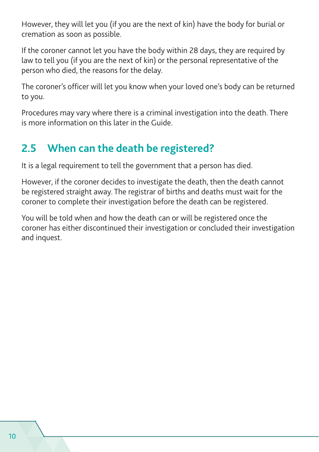<span id="page-15-0"></span>However, they will let you (if you are the next of kin) have the body for burial or cremation as soon as possible.

If the coroner cannot let you have the body within 28 days, they are required by law to tell you (if you are the next of kin) or the personal representative of the person who died, the reasons for the delay.

The coroner's officer will let you know when your loved one's body can be returned to you.

Procedures may vary where there is a criminal investigation into the death. There is more information on this later in the Guide.

## **2.5 When can the death be registered?**

It is a legal requirement to tell the government that a person has died.

However, if the coroner decides to investigate the death, then the death cannot be registered straight away. The registrar of births and deaths must wait for the coroner to complete their investigation before the death can be registered.

You will be told when and how the death can or will be registered once the coroner has either discontinued their investigation or concluded their investigation and inquest.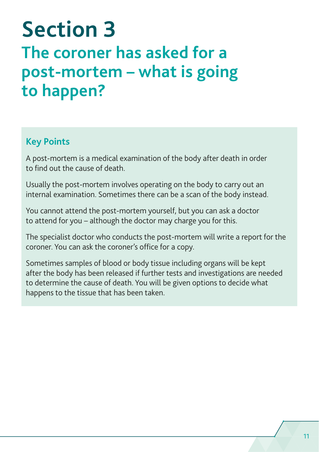# <span id="page-16-0"></span>**Section 3 The coroner has asked for a post‑mortem – what is going to happen?**

#### **Key Points**

A post-mortem is a medical examination of the body after death in order to find out the cause of death.

Usually the post-mortem involves operating on the body to carry out an internal examination. Sometimes there can be a scan of the body instead.

You cannot attend the post-mortem yourself, but you can ask a doctor to attend for you – although the doctor may charge you for this.

The specialist doctor who conducts the post-mortem will write a report for the coroner. You can ask the coroner's office for a copy.

Sometimes samples of blood or body tissue including organs will be kept after the body has been released if further tests and investigations are needed to determine the cause of death. You will be given options to decide what happens to the tissue that has been taken.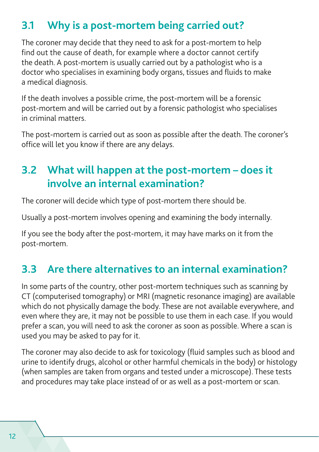## <span id="page-17-0"></span>**3.1 Why is a post-mortem being carried out?**

The coroner may decide that they need to ask for a post-mortem to help find out the cause of death, for example where a doctor cannot certify the death. A post-mortem is usually carried out by a pathologist who is a doctor who specialises in examining body organs, tissues and fluids to make a medical diagnosis.

If the death involves a possible crime, the post-mortem will be a forensic post-mortem and will be carried out by a forensic pathologist who specialises in criminal matters.

The post-mortem is carried out as soon as possible after the death. The coroner's office will let you know if there are any delays.

## **3.2 What will happen at the post-mortem – does it involve an internal examination?**

The coroner will decide which type of post-mortem there should be.

Usually a post-mortem involves opening and examining the body internally.

If you see the body after the post-mortem, it may have marks on it from the post-mortem.

## **3.3 Are there alternatives to an internal examination?**

In some parts of the country, other post-mortem techniques such as scanning by CT (computerised tomography) or MRI (magnetic resonance imaging) are available which do not physically damage the body. These are not available everywhere, and even where they are, it may not be possible to use them in each case. If you would prefer a scan, you will need to ask the coroner as soon as possible. Where a scan is used you may be asked to pay for it.

The coroner may also decide to ask for toxicology (fluid samples such as blood and urine to identify drugs, alcohol or other harmful chemicals in the body) or histology (when samples are taken from organs and tested under a microscope). These tests and procedures may take place instead of or as well as a post-mortem or scan.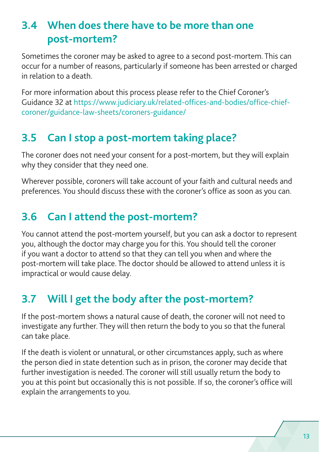## <span id="page-18-0"></span>**3.4 When does there have to be more than one post‑mortem?**

Sometimes the coroner may be asked to agree to a second post-mortem. This can occur for a number of reasons, particularly if someone has been arrested or charged in relation to a death.

For more information about this process please refer to the Chief Coroner's Guidance 32 at [https://www.judiciary.uk/related-offices-and-bodies/office-chief](https://www.judiciary.uk/related-offices-and-bodies/office-chief-coroner/guidance-law-sheets/coroners-guidance/)[coroner/guidance-law-sheets/coroners-guidance/](https://www.judiciary.uk/related-offices-and-bodies/office-chief-coroner/guidance-law-sheets/coroners-guidance/)

## **3.5 Can I stop a post-mortem taking place?**

The coroner does not need your consent for a post-mortem, but they will explain why they consider that they need one.

Wherever possible, coroners will take account of your faith and cultural needs and preferences. You should discuss these with the coroner's office as soon as you can.

## **3.6 Can I attend the post-mortem?**

You cannot attend the post-mortem yourself, but you can ask a doctor to represent you, although the doctor may charge you for this. You should tell the coroner if you want a doctor to attend so that they can tell you when and where the post-mortem will take place. The doctor should be allowed to attend unless it is impractical or would cause delay.

## **3.7 Will I get the body after the post-mortem?**

If the post-mortem shows a natural cause of death, the coroner will not need to investigate any further. They will then return the body to you so that the funeral can take place.

If the death is violent or unnatural, or other circumstances apply, such as where the person died in state detention such as in prison, the coroner may decide that further investigation is needed. The coroner will still usually return the body to you at this point but occasionally this is not possible. If so, the coroner's office will explain the arrangements to you.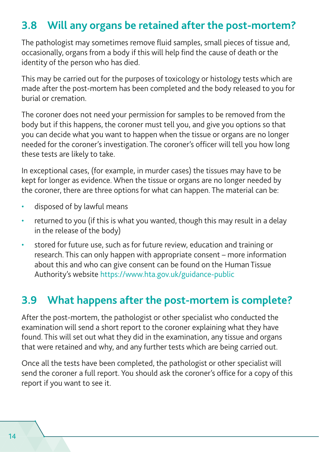### <span id="page-19-0"></span>**3.8 Will any organs be retained after the post-mortem?**

The pathologist may sometimes remove fluid samples, small pieces of tissue and, occasionally, organs from a body if this will help find the cause of death or the identity of the person who has died.

This may be carried out for the purposes of toxicology or histology tests which are made after the post-mortem has been completed and the body released to you for burial or cremation.

The coroner does not need your permission for samples to be removed from the body but if this happens, the coroner must tell you, and give you options so that you can decide what you want to happen when the tissue or organs are no longer needed for the coroner's investigation. The coroner's officer will tell you how long these tests are likely to take.

In exceptional cases, (for example, in murder cases) the tissues may have to be kept for longer as evidence. When the tissue or organs are no longer needed by the coroner, there are three options for what can happen. The material can be:

- disposed of by lawful means
- returned to you (if this is what you wanted, though this may result in a delay in the release of the body)
- stored for future use, such as for future review, education and training or research. This can only happen with appropriate consent – more information about this and who can give consent can be found on the Human Tissue Authority's website<https://www.hta.gov.uk/guidance-public>

#### **3.9 What happens after the post-mortem is complete?**

After the post-mortem, the pathologist or other specialist who conducted the examination will send a short report to the coroner explaining what they have found. This will set out what they did in the examination, any tissue and organs that were retained and why, and any further tests which are being carried out.

Once all the tests have been completed, the pathologist or other specialist will send the coroner a full report. You should ask the coroner's office for a copy of this report if you want to see it.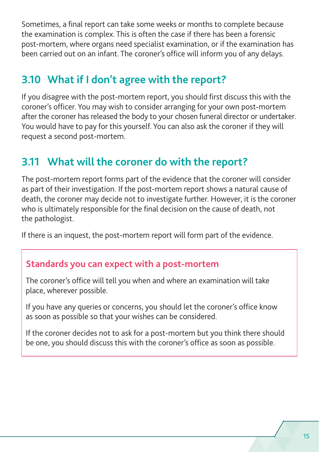<span id="page-20-0"></span>Sometimes, a final report can take some weeks or months to complete because the examination is complex. This is often the case if there has been a forensic post-mortem, where organs need specialist examination, or if the examination has been carried out on an infant. The coroner's office will inform you of any delays.

## **3.10 What if I don't agree with the report?**

If you disagree with the post-mortem report, you should first discuss this with the coroner's officer. You may wish to consider arranging for your own post-mortem after the coroner has released the body to your chosen funeral director or undertaker. You would have to pay for this yourself. You can also ask the coroner if they will request a second post-mortem.

### **3.11 What will the coroner do with the report?**

The post-mortem report forms part of the evidence that the coroner will consider as part of their investigation. If the post-mortem report shows a natural cause of death, the coroner may decide not to investigate further. However, it is the coroner who is ultimately responsible for the final decision on the cause of death, not the pathologist.

If there is an inquest, the post-mortem report will form part of the evidence.

#### **Standards you can expect with a post-mortem**

The coroner's office will tell you when and where an examination will take place, wherever possible.

If you have any queries or concerns, you should let the coroner's office know as soon as possible so that your wishes can be considered.

If the coroner decides not to ask for a post-mortem but you think there should be one, you should discuss this with the coroner's office as soon as possible.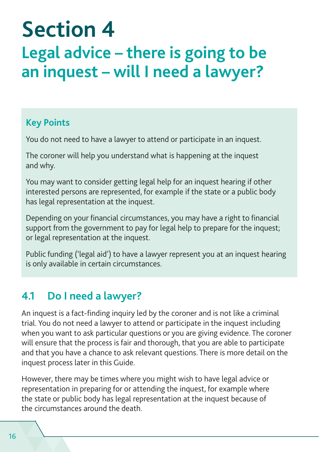# <span id="page-21-0"></span>**Section 4 Legal advice – there is going to be an inquest – will I need a lawyer?**

#### **Key Points**

You do not need to have a lawyer to attend or participate in an inquest.

The coroner will help you understand what is happening at the inquest and why.

You may want to consider getting legal help for an inquest hearing if other interested persons are represented, for example if the state or a public body has legal representation at the inquest.

Depending on your financial circumstances, you may have a right to financial support from the government to pay for legal help to prepare for the inquest; or legal representation at the inquest.

Public funding ('legal aid') to have a lawyer represent you at an inquest hearing is only available in certain circumstances.

## **4.1 Do I need a lawyer?**

An inquest is a fact-finding inquiry led by the coroner and is not like a criminal trial. You do not need a lawyer to attend or participate in the inquest including when you want to ask particular questions or you are giving evidence. The coroner will ensure that the process is fair and thorough, that you are able to participate and that you have a chance to ask relevant questions. There is more detail on the inquest process later in this Guide.

However, there may be times where you might wish to have legal advice or representation in preparing for or attending the inquest, for example where the state or public body has legal representation at the inquest because of the circumstances around the death.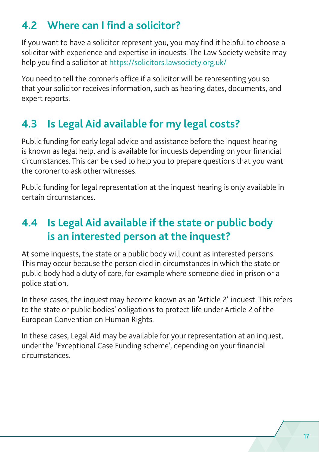## <span id="page-22-0"></span>**4.2 Where can I find a solicitor?**

If you want to have a solicitor represent you, you may find it helpful to choose a solicitor with experience and expertise in inquests. The Law Society website may help you find a solicitor at <https://solicitors.lawsociety.org.uk/>

You need to tell the coroner's office if a solicitor will be representing you so that your solicitor receives information, such as hearing dates, documents, and expert reports.

## **4.3 Is Legal Aid available for my legal costs?**

Public funding for early legal advice and assistance before the inquest hearing is known as legal help, and is available for inquests depending on your financial circumstances. This can be used to help you to prepare questions that you want the coroner to ask other witnesses.

Public funding for legal representation at the inquest hearing is only available in certain circumstances.

## **4.4 Is Legal Aid available if the state or public body is an interested person at the inquest?**

At some inquests, the state or a public body will count as interested persons. This may occur because the person died in circumstances in which the state or public body had a duty of care, for example where someone died in prison or a police station.

In these cases, the inquest may become known as an 'Article 2' inquest. This refers to the state or public bodies' obligations to protect life under Article 2 of the European Convention on Human Rights.

In these cases, Legal Aid may be available for your representation at an inquest, under the 'Exceptional Case Funding scheme', depending on your financial circumstances.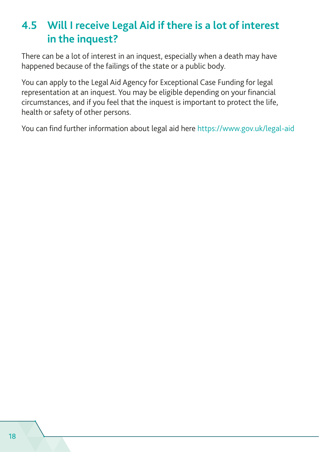## <span id="page-23-0"></span>**4.5 Will I receive Legal Aid if there is a lot of interest in the inquest?**

There can be a lot of interest in an inquest, especially when a death may have happened because of the failings of the state or a public body.

You can apply to the Legal Aid Agency for Exceptional Case Funding for legal representation at an inquest. You may be eligible depending on your financial circumstances, and if you feel that the inquest is important to protect the life, health or safety of other persons.

You can find further information about legal aid here <https://www.gov.uk/legal-aid>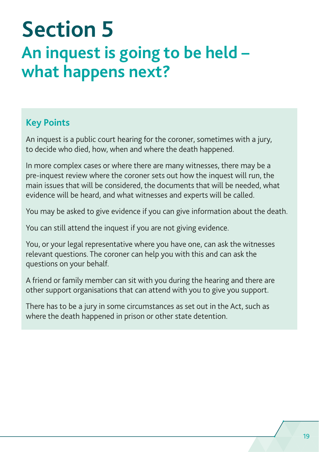# <span id="page-24-0"></span>**Section 5 An inquest is going to be held – what happens next?**

#### **Key Points**

An inquest is a public court hearing for the coroner, sometimes with a jury, to decide who died, how, when and where the death happened.

In more complex cases or where there are many witnesses, there may be a pre-inquest review where the coroner sets out how the inquest will run, the main issues that will be considered, the documents that will be needed, what evidence will be heard, and what witnesses and experts will be called.

You may be asked to give evidence if you can give information about the death.

You can still attend the inquest if you are not giving evidence.

You, or your legal representative where you have one, can ask the witnesses relevant questions. The coroner can help you with this and can ask the questions on your behalf.

A friend or family member can sit with you during the hearing and there are other support organisations that can attend with you to give you support.

There has to be a jury in some circumstances as set out in the Act, such as where the death happened in prison or other state detention.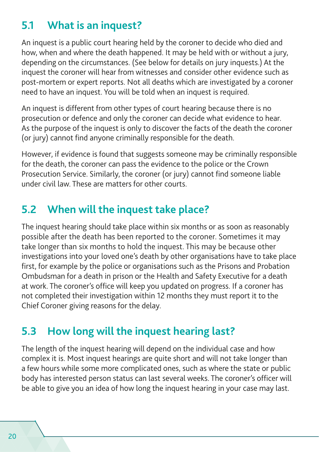## <span id="page-25-0"></span>**5.1 What is an inquest?**

An inquest is a public court hearing held by the coroner to decide who died and how, when and where the death happened. It may be held with or without a jury, depending on the circumstances. (See below for details on jury inquests.) At the inquest the coroner will hear from witnesses and consider other evidence such as post-mortem or expert reports. Not all deaths which are investigated by a coroner need to have an inquest. You will be told when an inquest is required.

An inquest is different from other types of court hearing because there is no prosecution or defence and only the coroner can decide what evidence to hear. As the purpose of the inquest is only to discover the facts of the death the coroner (or jury) cannot find anyone criminally responsible for the death.

However, if evidence is found that suggests someone may be criminally responsible for the death, the coroner can pass the evidence to the police or the Crown Prosecution Service. Similarly, the coroner (or jury) cannot find someone liable under civil law. These are matters for other courts.

## **5.2 When will the inquest take place?**

The inquest hearing should take place within six months or as soon as reasonably possible after the death has been reported to the coroner. Sometimes it may take longer than six months to hold the inquest. This may be because other investigations into your loved one's death by other organisations have to take place first, for example by the police or organisations such as the Prisons and Probation Ombudsman for a death in prison or the Health and Safety Executive for a death at work. The coroner's office will keep you updated on progress. If a coroner has not completed their investigation within 12 months they must report it to the Chief Coroner giving reasons for the delay.

## **5.3 How long will the inquest hearing last?**

The length of the inquest hearing will depend on the individual case and how complex it is. Most inquest hearings are quite short and will not take longer than a few hours while some more complicated ones, such as where the state or public body has interested person status can last several weeks. The coroner's officer will be able to give you an idea of how long the inquest hearing in your case may last.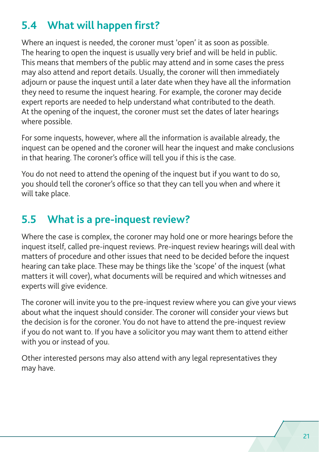## <span id="page-26-0"></span>**5.4 What will happen first?**

Where an inquest is needed, the coroner must 'open' it as soon as possible. The hearing to open the inquest is usually very brief and will be held in public. This means that members of the public may attend and in some cases the press may also attend and report details. Usually, the coroner will then immediately adjourn or pause the inquest until a later date when they have all the information they need to resume the inquest hearing. For example, the coroner may decide expert reports are needed to help understand what contributed to the death. At the opening of the inquest, the coroner must set the dates of later hearings where possible.

For some inquests, however, where all the information is available already, the inquest can be opened and the coroner will hear the inquest and make conclusions in that hearing. The coroner's office will tell you if this is the case.

You do not need to attend the opening of the inquest but if you want to do so, you should tell the coroner's office so that they can tell you when and where it will take place.

## **5.5 What is a pre-inquest review?**

Where the case is complex, the coroner may hold one or more hearings before the inquest itself, called pre-inquest reviews. Pre-inquest review hearings will deal with matters of procedure and other issues that need to be decided before the inquest hearing can take place. These may be things like the 'scope' of the inquest (what matters it will cover), what documents will be required and which witnesses and experts will give evidence.

The coroner will invite you to the pre-inquest review where you can give your views about what the inquest should consider. The coroner will consider your views but the decision is for the coroner. You do not have to attend the pre-inquest review if you do not want to. If you have a solicitor you may want them to attend either with you or instead of you.

Other interested persons may also attend with any legal representatives they may have.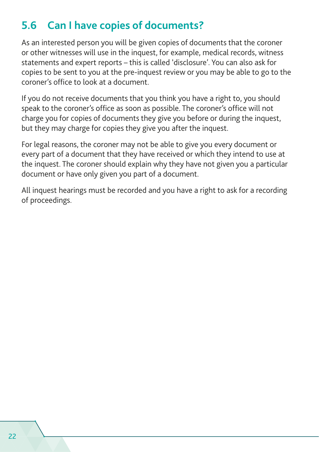## <span id="page-27-0"></span>**5.6 Can I have copies of documents?**

As an interested person you will be given copies of documents that the coroner or other witnesses will use in the inquest, for example, medical records, witness statements and expert reports – this is called 'disclosure'. You can also ask for copies to be sent to you at the pre-inquest review or you may be able to go to the coroner's office to look at a document.

If you do not receive documents that you think you have a right to, you should speak to the coroner's office as soon as possible. The coroner's office will not charge you for copies of documents they give you before or during the inquest, but they may charge for copies they give you after the inquest.

For legal reasons, the coroner may not be able to give you every document or every part of a document that they have received or which they intend to use at the inquest. The coroner should explain why they have not given you a particular document or have only given you part of a document.

All inquest hearings must be recorded and you have a right to ask for a recording of proceedings.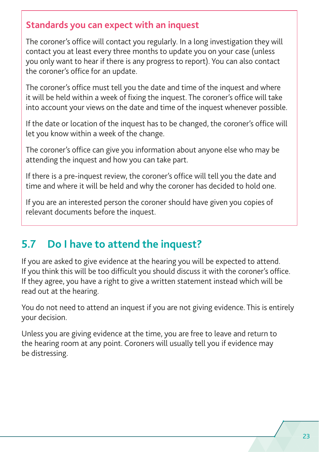#### <span id="page-28-0"></span>**Standards you can expect with an inquest**

The coroner's office will contact you regularly. In a long investigation they will contact you at least every three months to update you on your case (unless you only want to hear if there is any progress to report). You can also contact the coroner's office for an update.

The coroner's office must tell you the date and time of the inquest and where it will be held within a week of fixing the inquest. The coroner's office will take into account your views on the date and time of the inquest whenever possible.

If the date or location of the inquest has to be changed, the coroner's office will let you know within a week of the change.

The coroner's office can give you information about anyone else who may be attending the inquest and how you can take part.

If there is a pre-inquest review, the coroner's office will tell you the date and time and where it will be held and why the coroner has decided to hold one.

If you are an interested person the coroner should have given you copies of relevant documents before the inquest.

## **5.7 Do I have to attend the inquest?**

If you are asked to give evidence at the hearing you will be expected to attend. If you think this will be too difficult you should discuss it with the coroner's office. If they agree, you have a right to give a written statement instead which will be read out at the hearing.

You do not need to attend an inquest if you are not giving evidence. This is entirely your decision.

Unless you are giving evidence at the time, you are free to leave and return to the hearing room at any point. Coroners will usually tell you if evidence may be distressing.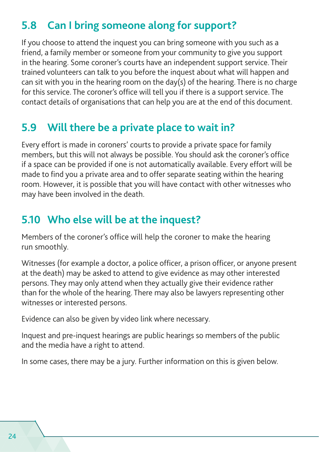## <span id="page-29-0"></span>**5.8 Can I bring someone along for support?**

If you choose to attend the inquest you can bring someone with you such as a friend, a family member or someone from your community to give you support in the hearing. Some coroner's courts have an independent support service. Their trained volunteers can talk to you before the inquest about what will happen and can sit with you in the hearing room on the day(s) of the hearing. There is no charge for this service. The coroner's office will tell you if there is a support service. The contact details of organisations that can help you are at the end of this document.

#### **5.9 Will there be a private place to wait in?**

Every effort is made in coroners' courts to provide a private space for family members, but this will not always be possible. You should ask the coroner's office if a space can be provided if one is not automatically available. Every effort will be made to find you a private area and to offer separate seating within the hearing room. However, it is possible that you will have contact with other witnesses who may have been involved in the death.

## **5.10 Who else will be at the inquest?**

Members of the coroner's office will help the coroner to make the hearing run smoothly.

Witnesses (for example a doctor, a police officer, a prison officer, or anyone present at the death) may be asked to attend to give evidence as may other interested persons. They may only attend when they actually give their evidence rather than for the whole of the hearing. There may also be lawyers representing other witnesses or interested persons.

Evidence can also be given by video link where necessary.

Inquest and pre-inquest hearings are public hearings so members of the public and the media have a right to attend.

In some cases, there may be a jury. Further information on this is given below.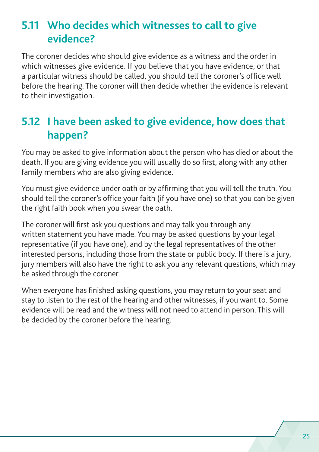## <span id="page-30-0"></span>**5.11 Who decides which witnesses to call to give evidence?**

The coroner decides who should give evidence as a witness and the order in which witnesses give evidence. If you believe that you have evidence, or that a particular witness should be called, you should tell the coroner's office well before the hearing. The coroner will then decide whether the evidence is relevant to their investigation.

## **5.12 I have been asked to give evidence, how does that happen?**

You may be asked to give information about the person who has died or about the death. If you are giving evidence you will usually do so first, along with any other family members who are also giving evidence.

You must give evidence under oath or by affirming that you will tell the truth. You should tell the coroner's office your faith (if you have one) so that you can be given the right faith book when you swear the oath.

The coroner will first ask you questions and may talk you through any written statement you have made. You may be asked questions by your legal representative (if you have one), and by the legal representatives of the other interested persons, including those from the state or public body. If there is a jury, jury members will also have the right to ask you any relevant questions, which may be asked through the coroner.

When everyone has finished asking questions, you may return to your seat and stay to listen to the rest of the hearing and other witnesses, if you want to. Some evidence will be read and the witness will not need to attend in person. This will be decided by the coroner before the hearing.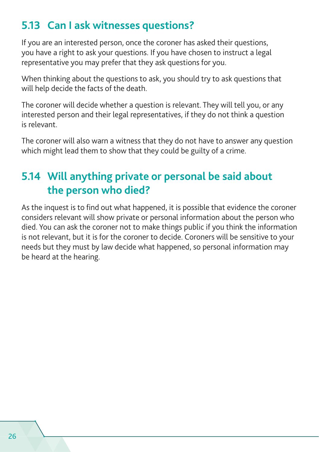### <span id="page-31-0"></span>**5.13 Can I ask witnesses questions?**

If you are an interested person, once the coroner has asked their questions, you have a right to ask your questions. If you have chosen to instruct a legal representative you may prefer that they ask questions for you.

When thinking about the questions to ask, you should try to ask questions that will help decide the facts of the death.

The coroner will decide whether a question is relevant. They will tell you, or any interested person and their legal representatives, if they do not think a question is relevant.

The coroner will also warn a witness that they do not have to answer any question which might lead them to show that they could be guilty of a crime.

## **5.14 Will anything private or personal be said about the person who died?**

As the inquest is to find out what happened, it is possible that evidence the coroner considers relevant will show private or personal information about the person who died. You can ask the coroner not to make things public if you think the information is not relevant, but it is for the coroner to decide. Coroners will be sensitive to your needs but they must by law decide what happened, so personal information may be heard at the hearing.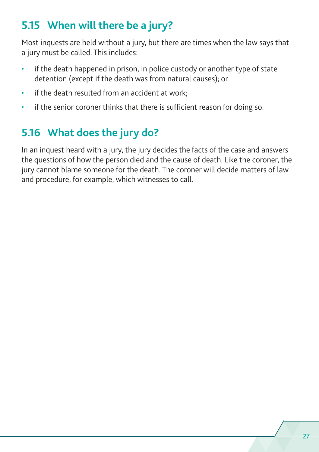## <span id="page-32-0"></span>**5.15 When will there be a jury?**

Most inquests are held without a jury, but there are times when the law says that a jury must be called. This includes:

- if the death happened in prison, in police custody or another type of state detention (except if the death was from natural causes); or
- if the death resulted from an accident at work;
- if the senior coroner thinks that there is sufficient reason for doing so.

## **5.16 What does the jury do?**

In an inquest heard with a jury, the jury decides the facts of the case and answers the questions of how the person died and the cause of death. Like the coroner, the jury cannot blame someone for the death. The coroner will decide matters of law and procedure, for example, which witnesses to call.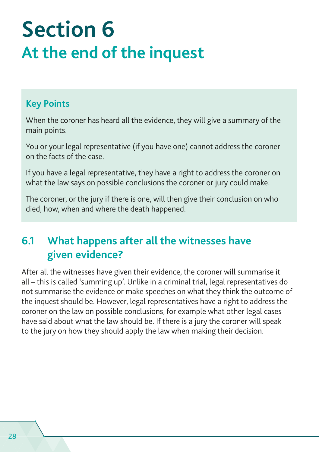# <span id="page-33-0"></span>**Section 6 At the end of the inquest**

#### **Key Points**

When the coroner has heard all the evidence, they will give a summary of the main points.

You or your legal representative (if you have one) cannot address the coroner on the facts of the case.

If you have a legal representative, they have a right to address the coroner on what the law says on possible conclusions the coroner or jury could make.

The coroner, or the jury if there is one, will then give their conclusion on who died, how, when and where the death happened.

## **6.1 What happens after all the witnesses have given evidence?**

After all the witnesses have given their evidence, the coroner will summarise it all – this is called 'summing up'. Unlike in a criminal trial, legal representatives do not summarise the evidence or make speeches on what they think the outcome of the inquest should be. However, legal representatives have a right to address the coroner on the law on possible conclusions, for example what other legal cases have said about what the law should be. If there is a jury the coroner will speak to the jury on how they should apply the law when making their decision.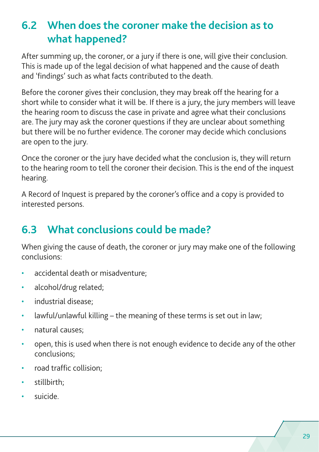## <span id="page-34-0"></span>**6.2 When does the coroner make the decision as to what happened?**

After summing up, the coroner, or a jury if there is one, will give their conclusion. This is made up of the legal decision of what happened and the cause of death and 'findings' such as what facts contributed to the death.

Before the coroner gives their conclusion, they may break off the hearing for a short while to consider what it will be. If there is a jury, the jury members will leave the hearing room to discuss the case in private and agree what their conclusions are. The jury may ask the coroner questions if they are unclear about something but there will be no further evidence. The coroner may decide which conclusions are open to the jury.

Once the coroner or the jury have decided what the conclusion is, they will return to the hearing room to tell the coroner their decision. This is the end of the inquest hearing.

A Record of Inquest is prepared by the coroner's office and a copy is provided to interested persons.

## **6.3 What conclusions could be made?**

When giving the cause of death, the coroner or jury may make one of the following conclusions:

- accidental death or misadventure;
- alcohol/drug related;
- industrial disease;
- lawful/unlawful killing the meaning of these terms is set out in law;
- natural causes;
- open, this is used when there is not enough evidence to decide any of the other conclusions;
- road traffic collision;
- stillbirth;
- suicide.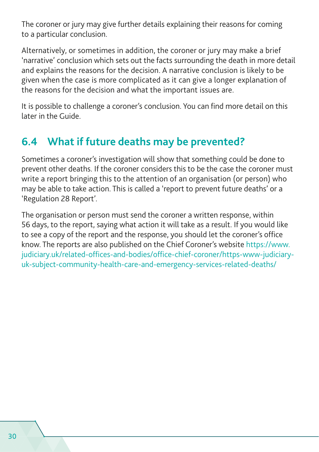<span id="page-35-0"></span>The coroner or jury may give further details explaining their reasons for coming to a particular conclusion.

Alternatively, or sometimes in addition, the coroner or jury may make a brief 'narrative' conclusion which sets out the facts surrounding the death in more detail and explains the reasons for the decision. A narrative conclusion is likely to be given when the case is more complicated as it can give a longer explanation of the reasons for the decision and what the important issues are.

It is possible to challenge a coroner's conclusion. You can find more detail on this later in the Guide.

## **6.4 What if future deaths may be prevented?**

Sometimes a coroner's investigation will show that something could be done to prevent other deaths. If the coroner considers this to be the case the coroner must write a report bringing this to the attention of an organisation (or person) who may be able to take action. This is called a 'report to prevent future deaths' or a 'Regulation 28 Report'.

The organisation or person must send the coroner a written response, within 56 days, to the report, saying what action it will take as a result. If you would like to see a copy of the report and the response, you should let the coroner's office know. The reports are also published on the Chief Coroner's website [https://www.](https://www.judiciary.uk/related-offices-and-bodies/office-chief-coroner/https-www-judiciary-uk-subject-community-health-care-and-emergency-services-related-deaths/) [judiciary.uk/related-offices-and-bodies/office-chief-coroner/https-www-judiciary](https://www.judiciary.uk/related-offices-and-bodies/office-chief-coroner/https-www-judiciary-uk-subject-community-health-care-and-emergency-services-related-deaths/)[uk-subject-community-health-care-and-emergency-services-related-deaths/](https://www.judiciary.uk/related-offices-and-bodies/office-chief-coroner/https-www-judiciary-uk-subject-community-health-care-and-emergency-services-related-deaths/)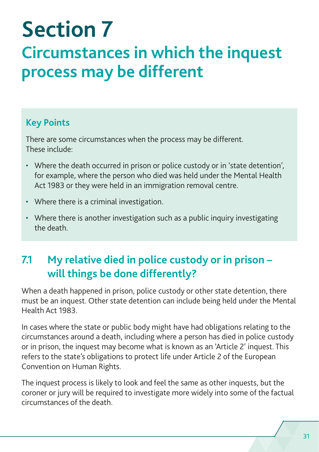# <span id="page-36-0"></span>**Section 7 Circumstances in which the inquest process may be different**

#### **Key Points**

There are some circumstances when the process may be different. These include:

- Where the death occurred in prison or police custody or in 'state detention', for example, where the person who died was held under the Mental Health Act 1983 or they were held in an immigration removal centre.
- Where there is a criminal investigation.
- Where there is another investigation such as a public inquiry investigating the death.

## **7.1 My relative died in police custody or in prison – will things be done differently?**

When a death happened in prison, police custody or other state detention, there must be an inquest. Other state detention can include being held under the Mental Health Act 1983.

In cases where the state or public body might have had obligations relating to the circumstances around a death, including where a person has died in police custody or in prison, the inquest may become what is known as an 'Article 2' inquest. This refers to the state's obligations to protect life under Article 2 of the European Convention on Human Rights.

The inquest process is likely to look and feel the same as other inquests, but the coroner or jury will be required to investigate more widely into some of the factual circumstances of the death.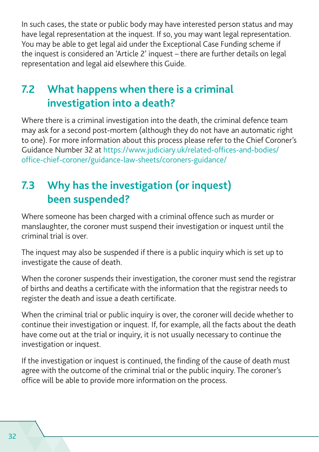<span id="page-37-0"></span>In such cases, the state or public body may have interested person status and may have legal representation at the inquest. If so, you may want legal representation. You may be able to get legal aid under the Exceptional Case Funding scheme if the inquest is considered an 'Article 2' inquest – there are further details on legal representation and legal aid elsewhere this Guide.

## **7.2 What happens when there is a criminal investigation into a death?**

Where there is a criminal investigation into the death, the criminal defence team may ask for a second post-mortem (although they do not have an automatic right to one). For more information about this process please refer to the Chief Coroner's Guidance Number 32 at [https://www.judiciary.uk/related-offices-and-bodies/](https://www.judiciary.uk/related-offices-and-bodies/office-chief-coroner/guidance-law-sheets/coroners-guidance/) [office-chief-coroner/guidance-law-sheets/coroners-guidance/](https://www.judiciary.uk/related-offices-and-bodies/office-chief-coroner/guidance-law-sheets/coroners-guidance/)

## **7.3 Why has the investigation (or inquest) been suspended?**

Where someone has been charged with a criminal offence such as murder or manslaughter, the coroner must suspend their investigation or inquest until the criminal trial is over.

The inquest may also be suspended if there is a public inquiry which is set up to investigate the cause of death.

When the coroner suspends their investigation, the coroner must send the registrar of births and deaths a certificate with the information that the registrar needs to register the death and issue a death certificate.

When the criminal trial or public inquiry is over, the coroner will decide whether to continue their investigation or inquest. If, for example, all the facts about the death have come out at the trial or inquiry, it is not usually necessary to continue the investigation or inquest.

If the investigation or inquest is continued, the finding of the cause of death must agree with the outcome of the criminal trial or the public inquiry. The coroner's office will be able to provide more information on the process.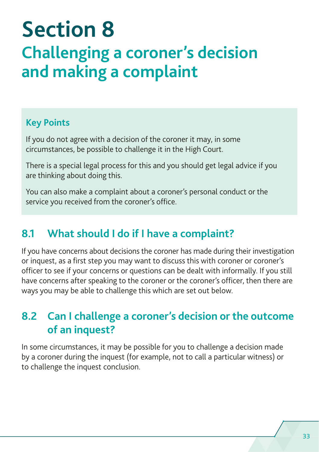# <span id="page-38-0"></span>**Section 8 Challenging a coroner's decision and making a complaint**

#### **Key Points**

If you do not agree with a decision of the coroner it may, in some circumstances, be possible to challenge it in the High Court.

There is a special legal process for this and you should get legal advice if you are thinking about doing this.

You can also make a complaint about a coroner's personal conduct or the service you received from the coroner's office.

#### **8.1 What should I do if I have a complaint?**

If you have concerns about decisions the coroner has made during their investigation or inquest, as a first step you may want to discuss this with coroner or coroner's officer to see if your concerns or questions can be dealt with informally. If you still have concerns after speaking to the coroner or the coroner's officer, then there are ways you may be able to challenge this which are set out below.

### **8.2 Can I challenge a coroner's decision or the outcome of an inquest?**

In some circumstances, it may be possible for you to challenge a decision made by a coroner during the inquest (for example, not to call a particular witness) or to challenge the inquest conclusion.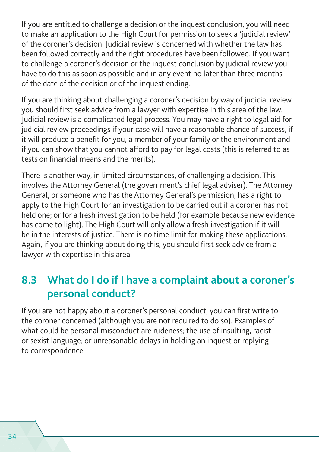<span id="page-39-0"></span>If you are entitled to challenge a decision or the inquest conclusion, you will need to make an application to the High Court for permission to seek a 'judicial review' of the coroner's decision. Judicial review is concerned with whether the law has been followed correctly and the right procedures have been followed. If you want to challenge a coroner's decision or the inquest conclusion by judicial review you have to do this as soon as possible and in any event no later than three months of the date of the decision or of the inquest ending.

If you are thinking about challenging a coroner's decision by way of judicial review you should first seek advice from a lawyer with expertise in this area of the law. Judicial review is a complicated legal process. You may have a right to legal aid for judicial review proceedings if your case will have a reasonable chance of success, if it will produce a benefit for you, a member of your family or the environment and if you can show that you cannot afford to pay for legal costs (this is referred to as tests on financial means and the merits).

There is another way, in limited circumstances, of challenging a decision. This involves the Attorney General (the government's chief legal adviser). The Attorney General, or someone who has the Attorney General's permission, has a right to apply to the High Court for an investigation to be carried out if a coroner has not held one; or for a fresh investigation to be held (for example because new evidence has come to light). The High Court will only allow a fresh investigation if it will be in the interests of justice. There is no time limit for making these applications. Again, if you are thinking about doing this, you should first seek advice from a lawyer with expertise in this area.

### **8.3 What do I do if I have a complaint about a coroner's personal conduct?**

If you are not happy about a coroner's personal conduct, you can first write to the coroner concerned (although you are not required to do so). Examples of what could be personal misconduct are rudeness; the use of insulting, racist or sexist language; or unreasonable delays in holding an inquest or replying to correspondence.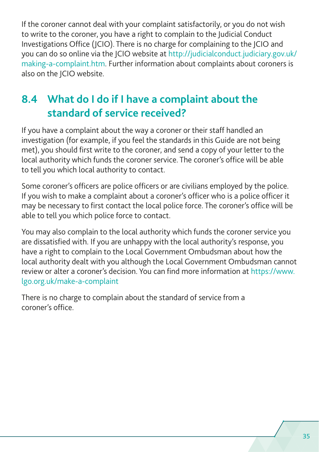<span id="page-40-0"></span>If the coroner cannot deal with your complaint satisfactorily, or you do not wish to write to the coroner, you have a right to complain to the Judicial Conduct Investigations Office (JCIO). There is no charge for complaining to the JCIO and you can do so online via the JCIO website at [http://judicialconduct.judiciary.gov.uk/](http://judicialconduct.judiciary.gov.uk/making-a-complaint.htm) [making-a-complaint.htm](http://judicialconduct.judiciary.gov.uk/making-a-complaint.htm). Further information about complaints about coroners is also on the JCIO website.

## **8.4 What do I do if I have a complaint about the standard of service received?**

If you have a complaint about the way a coroner or their staff handled an investigation (for example, if you feel the standards in this Guide are not being met), you should first write to the coroner, and send a copy of your letter to the local authority which funds the coroner service. The coroner's office will be able to tell you which local authority to contact.

Some coroner's officers are police officers or are civilians employed by the police. If you wish to make a complaint about a coroner's officer who is a police officer it may be necessary to first contact the local police force. The coroner's office will be able to tell you which police force to contact.

You may also complain to the local authority which funds the coroner service you are dissatisfied with. If you are unhappy with the local authority's response, you have a right to complain to the Local Government Ombudsman about how the local authority dealt with you although the Local Government Ombudsman cannot review or alter a coroner's decision. You can find more information at [https://www.](https://www.lgo.org.uk/make-a-complaint) [lgo.org.uk/make-a-complaint](https://www.lgo.org.uk/make-a-complaint)

There is no charge to complain about the standard of service from a coroner's office.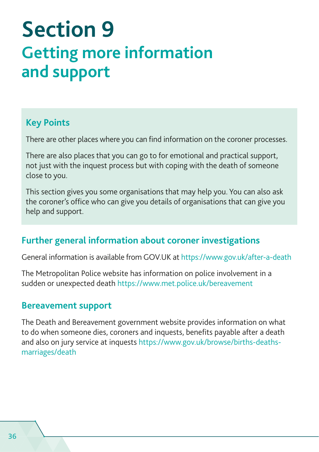# <span id="page-41-0"></span>**Section 9 Getting more information and support**

#### **Key Points**

There are other places where you can find information on the coroner processes.

There are also places that you can go to for emotional and practical support, not just with the inquest process but with coping with the death of someone close to you.

This section gives you some organisations that may help you. You can also ask the coroner's office who can give you details of organisations that can give you help and support.

#### **Further general information about coroner investigations**

General information is available from GOV.UK at<https://www.gov.uk/after-a-death>

The Metropolitan Police website has information on police involvement in a sudden or unexpected death <https://www.met.police.uk/bereavement>

#### **Bereavement support**

The Death and Bereavement government website provides information on what to do when someone dies, coroners and inquests, benefits payable after a death and also on jury service at inquests [https://www.gov.uk/browse/births-deaths](https://www.gov.uk/browse/births-deaths-marriages/death)[marriages/death](https://www.gov.uk/browse/births-deaths-marriages/death)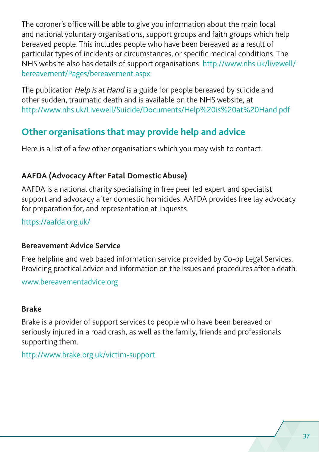<span id="page-42-0"></span>The coroner's office will be able to give you information about the main local and national voluntary organisations, support groups and faith groups which help bereaved people. This includes people who have been bereaved as a result of particular types of incidents or circumstances, or specific medical conditions. The NHS website also has details of support organisations: [http://www.nhs.uk/livewell/](http://www.nhs.uk/livewell/bereavement/Pages/bereavement.aspx) [bereavement/Pages/bereavement.aspx](http://www.nhs.uk/livewell/bereavement/Pages/bereavement.aspx)

The publication *Help is at Hand* is a guide for people bereaved by suicide and other sudden, traumatic death and is available on the NHS website, at <http://www.nhs.uk/Livewell/Suicide/Documents/Help%20is%20at%20Hand.pdf>

#### **Other organisations that may provide help and advice**

Here is a list of a few other organisations which you may wish to contact:

#### **AAFDA (Advocacy After Fatal Domestic Abuse)**

AAFDA is a national charity specialising in free peer led expert and specialist support and advocacy after domestic homicides. AAFDA provides free lay advocacy for preparation for, and representation at inquests.

<https://aafda.org.uk/>

#### **Bereavement Advice Service**

Free helpline and web based information service provided by Co-op Legal Services. Providing practical advice and information on the issues and procedures after a death.

[www.bereavementadvice.org](http://www.bereavementadvice.org)

#### **Brake**

Brake is a provider of support services to people who have been bereaved or seriously injured in a road crash, as well as the family, friends and professionals supporting them.

<http://www.brake.org.uk/victim-support>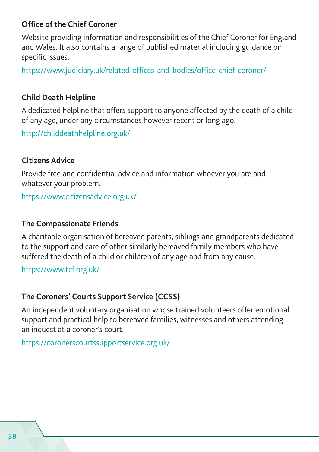#### **Office of the Chief Coroner**

Website providing information and responsibilities of the Chief Coroner for England and Wales. It also contains a range of published material including guidance on specific issues.

<https://www.judiciary.uk/related-offices-and-bodies/office-chief-coroner/>

#### **Child Death Helpline**

A dedicated helpline that offers support to anyone affected by the death of a child of any age, under any circumstances however recent or long ago.

<http://childdeathhelpline.org.uk/>

#### **Citizens Advice**

Provide free and confidential advice and information whoever you are and whatever your problem.

<https://www.citizensadvice.org.uk/>

#### **The Compassionate Friends**

A charitable organisation of bereaved parents, siblings and grandparents dedicated to the support and care of other similarly bereaved family members who have suffered the death of a child or children of any age and from any cause.

<https://www.tcf.org.uk/>

#### **The Coroners' Courts Support Service (CCSS)**

An independent voluntary organisation whose trained volunteers offer emotional support and practical help to bereaved families, witnesses and others attending an inquest at a coroner's court.

<https://coronerscourtssupportservice.org.uk/>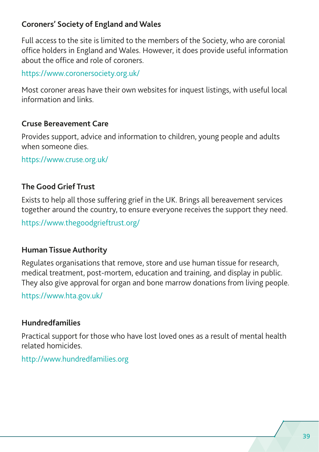#### **Coroners' Society of England and Wales**

Full access to the site is limited to the members of the Society, who are coronial office holders in England and Wales. However, it does provide useful information about the office and role of coroners.

<https://www.coronersociety.org.uk/>

Most coroner areas have their own websites for inquest listings, with useful local information and links.

#### **Cruse Bereavement Care**

Provides support, advice and information to children, young people and adults when someone dies.

<https://www.cruse.org.uk/>

#### **The Good Grief Trust**

Exists to help all those suffering grief in the UK. Brings all bereavement services together around the country, to ensure everyone receives the support they need.

<https://www.thegoodgrieftrust.org/>

#### **Human Tissue Authority**

Regulates organisations that remove, store and use human tissue for research, medical treatment, post-mortem, education and training, and display in public. They also give approval for organ and bone marrow donations from living people.

<https://www.hta.gov.uk/>

#### **Hundredfamilies**

Practical support for those who have lost loved ones as a result of mental health related homicides.

<http://www.hundredfamilies.org>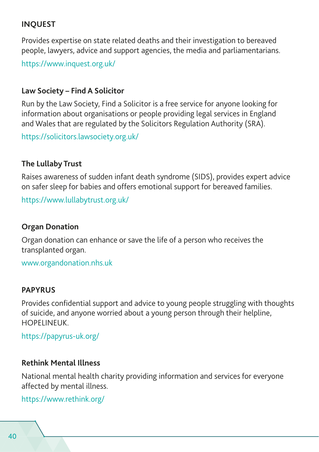#### **INQUEST**

Provides expertise on state related deaths and their investigation to bereaved people, lawyers, advice and support agencies, the media and parliamentarians.

<https://www.inquest.org.uk/>

#### **Law Society – Find A Solicitor**

Run by the Law Society, Find a Solicitor is a free service for anyone looking for information about organisations or people providing legal services in England and Wales that are regulated by the Solicitors Regulation Authority (SRA).

<https://solicitors.lawsociety.org.uk/>

#### **The Lullaby Trust**

Raises awareness of sudden infant death syndrome (SIDS), provides expert advice on safer sleep for babies and offers emotional support for bereaved families.

<https://www.lullabytrust.org.uk/>

#### **Organ Donation**

Organ donation can enhance or save the life of a person who receives the transplanted organ.

[www.organdonation.nhs.uk](http://www.organdonation.nhs.uk)

#### **PAPYRUS**

Provides confidential support and advice to young people struggling with thoughts of suicide, and anyone worried about a young person through their helpline, **HOPELINEUK** 

<https://papyrus-uk.org/>

#### **Rethink Mental Illness**

National mental health charity providing information and services for everyone affected by mental illness.

<https://www.rethink.org/>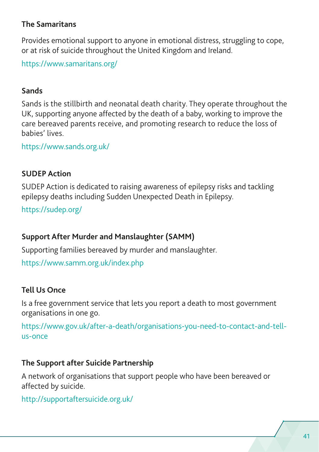#### **The Samaritans**

Provides emotional support to anyone in emotional distress, struggling to cope, or at risk of suicide throughout the United Kingdom and Ireland.

<https://www.samaritans.org/>

#### **Sands**

Sands is the stillbirth and neonatal death charity. They operate throughout the UK, supporting anyone affected by the death of a baby, working to improve the care bereaved parents receive, and promoting research to reduce the loss of babies' lives.

<https://www.sands.org.uk/>

#### **SUDEP Action**

SUDEP Action is dedicated to raising awareness of epilepsy risks and tackling epilepsy deaths including Sudden Unexpected Death in Epilepsy.

<https://sudep.org/>

#### **Support After Murder and Manslaughter (SAMM)**

Supporting families bereaved by murder and manslaughter.

<https://www.samm.org.uk/index.php>

#### **Tell Us Once**

Is a free government service that lets you report a death to most government organisations in one go.

[https://www.gov.uk/after-a-death/organisations-you-need-to-contact-and-tell](https://www.gov.uk/after-a-death/organisations-you-need-to-contact-and-tell-us-once)[us-once](https://www.gov.uk/after-a-death/organisations-you-need-to-contact-and-tell-us-once)

#### **The Support after Suicide Partnership**

A network of organisations that support people who have been bereaved or affected by suicide.

<http://supportaftersuicide.org.uk/>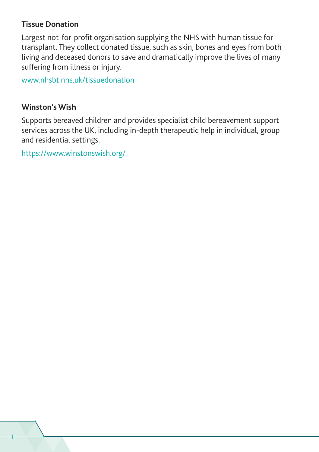#### **Tissue Donation**

Largest not-for-profit organisation supplying the NHS with human tissue for transplant. They collect donated tissue, such as skin, bones and eyes from both living and deceased donors to save and dramatically improve the lives of many suffering from illness or injury.

[www.nhsbt.nhs.uk/tissuedonation](http://www.nhsbt.nhs.uk/tissuedonation)

#### **Winston's Wish**

Supports bereaved children and provides specialist child bereavement support services across the UK, including in-depth therapeutic help in individual, group and residential settings.

<https://www.winstonswish.org/>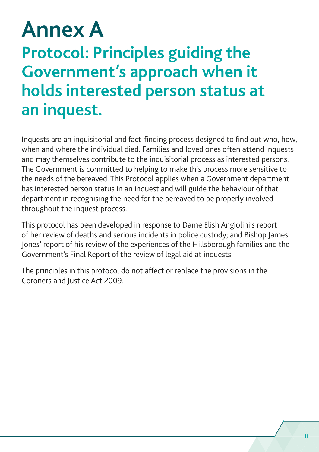# <span id="page-48-0"></span>**Annex A Protocol: Principles guiding the Government's approach when it holds interested person status at an inquest.**

Inquests are an inquisitorial and fact-finding process designed to find out who, how, when and where the individual died. Families and loved ones often attend inquests and may themselves contribute to the inquisitorial process as interested persons. The Government is committed to helping to make this process more sensitive to the needs of the bereaved. This Protocol applies when a Government department has interested person status in an inquest and will guide the behaviour of that department in recognising the need for the bereaved to be properly involved throughout the inquest process.

This protocol has been developed in response to Dame Elish Angiolini's report of her review of deaths and serious incidents in police custody; and Bishop James Jones' report of his review of the experiences of the Hillsborough families and the Government's Final Report of the review of legal aid at inquests.

The principles in this protocol do not affect or replace the provisions in the Coroners and Justice Act 2009.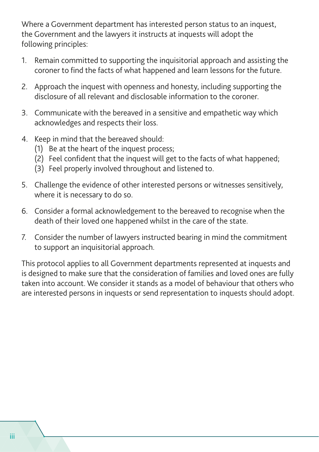Where a Government department has interested person status to an inquest, the Government and the lawyers it instructs at inquests will adopt the following principles:

- 1. Remain committed to supporting the inquisitorial approach and assisting the coroner to find the facts of what happened and learn lessons for the future.
- 2. Approach the inquest with openness and honesty, including supporting the disclosure of all relevant and disclosable information to the coroner.
- 3. Communicate with the bereaved in a sensitive and empathetic way which acknowledges and respects their loss.
- 4. Keep in mind that the bereaved should:
	- (1) Be at the heart of the inquest process;
	- (2) Feel confident that the inquest will get to the facts of what happened;
	- (3) Feel properly involved throughout and listened to.
- 5. Challenge the evidence of other interested persons or witnesses sensitively, where it is necessary to do so.
- 6. Consider a formal acknowledgement to the bereaved to recognise when the death of their loved one happened whilst in the care of the state.
- 7. Consider the number of lawyers instructed bearing in mind the commitment to support an inquisitorial approach.

This protocol applies to all Government departments represented at inquests and is designed to make sure that the consideration of families and loved ones are fully taken into account. We consider it stands as a model of behaviour that others who are interested persons in inquests or send representation to inquests should adopt.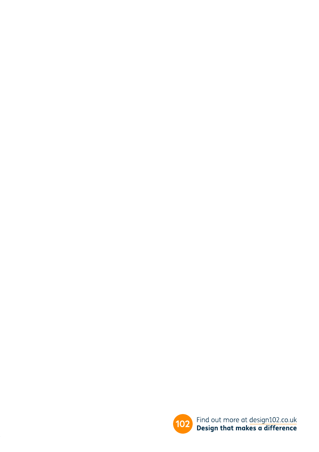